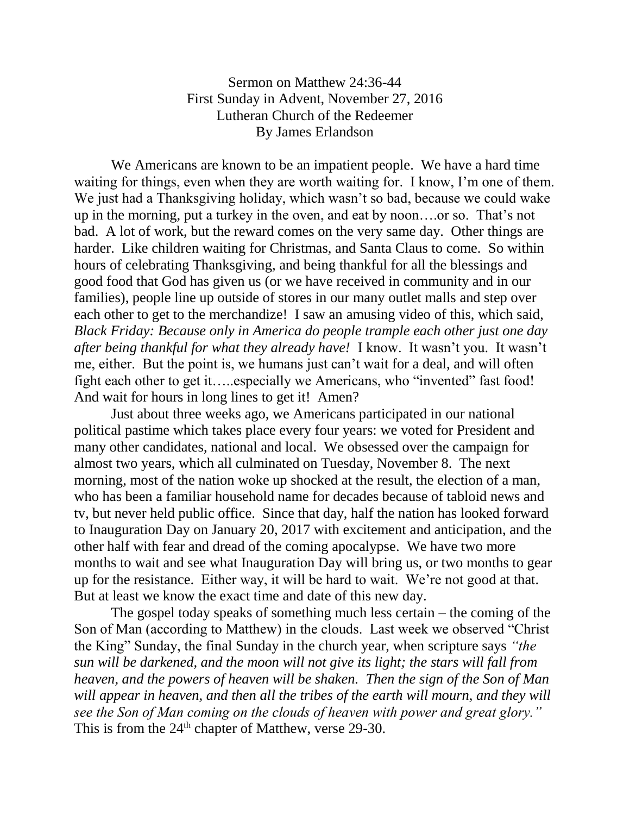Sermon on Matthew 24:36-44 First Sunday in Advent, November 27, 2016 Lutheran Church of the Redeemer By James Erlandson

We Americans are known to be an impatient people. We have a hard time waiting for things, even when they are worth waiting for. I know, I'm one of them. We just had a Thanksgiving holiday, which wasn't so bad, because we could wake up in the morning, put a turkey in the oven, and eat by noon….or so. That's not bad. A lot of work, but the reward comes on the very same day. Other things are harder. Like children waiting for Christmas, and Santa Claus to come. So within hours of celebrating Thanksgiving, and being thankful for all the blessings and good food that God has given us (or we have received in community and in our families), people line up outside of stores in our many outlet malls and step over each other to get to the merchandize! I saw an amusing video of this, which said, *Black Friday: Because only in America do people trample each other just one day after being thankful for what they already have!* I know. It wasn't you. It wasn't me, either. But the point is, we humans just can't wait for a deal, and will often fight each other to get it…..especially we Americans, who "invented" fast food! And wait for hours in long lines to get it! Amen?

Just about three weeks ago, we Americans participated in our national political pastime which takes place every four years: we voted for President and many other candidates, national and local. We obsessed over the campaign for almost two years, which all culminated on Tuesday, November 8. The next morning, most of the nation woke up shocked at the result, the election of a man, who has been a familiar household name for decades because of tabloid news and tv, but never held public office. Since that day, half the nation has looked forward to Inauguration Day on January 20, 2017 with excitement and anticipation, and the other half with fear and dread of the coming apocalypse. We have two more months to wait and see what Inauguration Day will bring us, or two months to gear up for the resistance. Either way, it will be hard to wait. We're not good at that. But at least we know the exact time and date of this new day.

The gospel today speaks of something much less certain – the coming of the Son of Man (according to Matthew) in the clouds. Last week we observed "Christ the King" Sunday, the final Sunday in the church year, when scripture says *"the sun will be darkened, and the moon will not give its light; the stars will fall from heaven, and the powers of heaven will be shaken. Then the sign of the Son of Man*  will appear in heaven, and then all the tribes of the earth will mourn, and they will *see the Son of Man coming on the clouds of heaven with power and great glory."* This is from the  $24<sup>th</sup>$  chapter of Matthew, verse 29-30.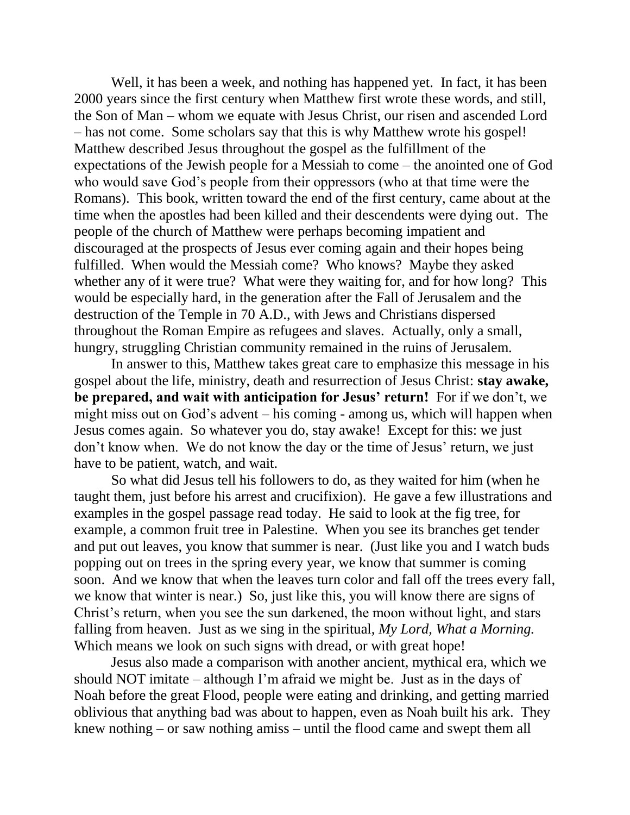Well, it has been a week, and nothing has happened yet. In fact, it has been 2000 years since the first century when Matthew first wrote these words, and still, the Son of Man – whom we equate with Jesus Christ, our risen and ascended Lord – has not come. Some scholars say that this is why Matthew wrote his gospel! Matthew described Jesus throughout the gospel as the fulfillment of the expectations of the Jewish people for a Messiah to come – the anointed one of God who would save God's people from their oppressors (who at that time were the Romans). This book, written toward the end of the first century, came about at the time when the apostles had been killed and their descendents were dying out. The people of the church of Matthew were perhaps becoming impatient and discouraged at the prospects of Jesus ever coming again and their hopes being fulfilled. When would the Messiah come? Who knows? Maybe they asked whether any of it were true? What were they waiting for, and for how long? This would be especially hard, in the generation after the Fall of Jerusalem and the destruction of the Temple in 70 A.D., with Jews and Christians dispersed throughout the Roman Empire as refugees and slaves. Actually, only a small, hungry, struggling Christian community remained in the ruins of Jerusalem.

In answer to this, Matthew takes great care to emphasize this message in his gospel about the life, ministry, death and resurrection of Jesus Christ: **stay awake, be prepared, and wait with anticipation for Jesus' return!** For if we don't, we might miss out on God's advent – his coming - among us, which will happen when Jesus comes again. So whatever you do, stay awake! Except for this: we just don't know when. We do not know the day or the time of Jesus' return, we just have to be patient, watch, and wait.

So what did Jesus tell his followers to do, as they waited for him (when he taught them, just before his arrest and crucifixion). He gave a few illustrations and examples in the gospel passage read today. He said to look at the fig tree, for example, a common fruit tree in Palestine. When you see its branches get tender and put out leaves, you know that summer is near. (Just like you and I watch buds popping out on trees in the spring every year, we know that summer is coming soon. And we know that when the leaves turn color and fall off the trees every fall, we know that winter is near.) So, just like this, you will know there are signs of Christ's return, when you see the sun darkened, the moon without light, and stars falling from heaven. Just as we sing in the spiritual, *My Lord, What a Morning.* Which means we look on such signs with dread, or with great hope!

Jesus also made a comparison with another ancient, mythical era, which we should NOT imitate – although I'm afraid we might be. Just as in the days of Noah before the great Flood, people were eating and drinking, and getting married oblivious that anything bad was about to happen, even as Noah built his ark. They knew nothing – or saw nothing amiss – until the flood came and swept them all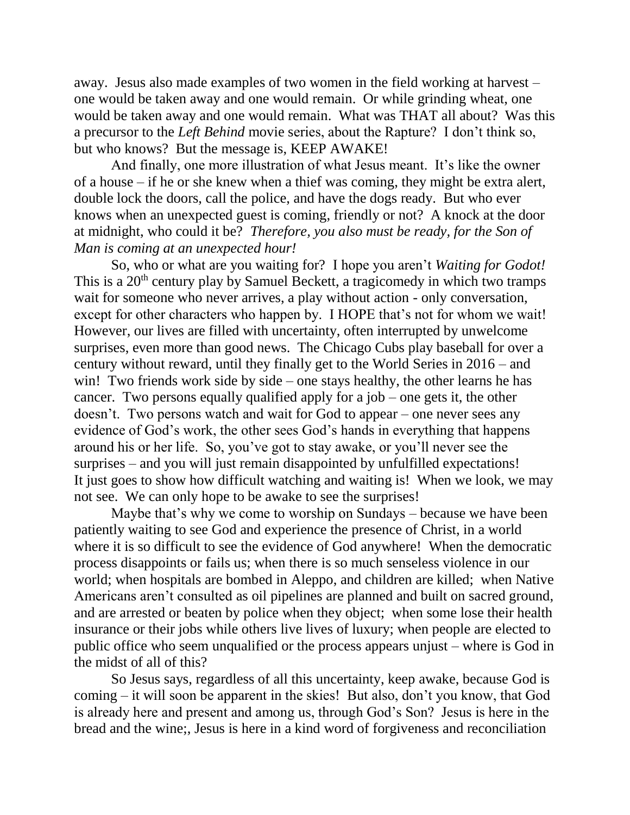away. Jesus also made examples of two women in the field working at harvest – one would be taken away and one would remain. Or while grinding wheat, one would be taken away and one would remain. What was THAT all about? Was this a precursor to the *Left Behind* movie series, about the Rapture? I don't think so, but who knows? But the message is, KEEP AWAKE!

And finally, one more illustration of what Jesus meant. It's like the owner of a house – if he or she knew when a thief was coming, they might be extra alert, double lock the doors, call the police, and have the dogs ready. But who ever knows when an unexpected guest is coming, friendly or not? A knock at the door at midnight, who could it be? *Therefore, you also must be ready, for the Son of Man is coming at an unexpected hour!*

So, who or what are you waiting for? I hope you aren't *Waiting for Godot!* This is a 20<sup>th</sup> century play by Samuel Beckett, a tragicomedy in which two tramps wait for someone who never arrives, a play without action - only conversation, except for other characters who happen by. I HOPE that's not for whom we wait! However, our lives are filled with uncertainty, often interrupted by unwelcome surprises, even more than good news. The Chicago Cubs play baseball for over a century without reward, until they finally get to the World Series in 2016 – and win! Two friends work side by side – one stays healthy, the other learns he has cancer. Two persons equally qualified apply for a job – one gets it, the other doesn't. Two persons watch and wait for God to appear – one never sees any evidence of God's work, the other sees God's hands in everything that happens around his or her life. So, you've got to stay awake, or you'll never see the surprises – and you will just remain disappointed by unfulfilled expectations! It just goes to show how difficult watching and waiting is! When we look, we may not see. We can only hope to be awake to see the surprises!

Maybe that's why we come to worship on Sundays – because we have been patiently waiting to see God and experience the presence of Christ, in a world where it is so difficult to see the evidence of God anywhere! When the democratic process disappoints or fails us; when there is so much senseless violence in our world; when hospitals are bombed in Aleppo, and children are killed; when Native Americans aren't consulted as oil pipelines are planned and built on sacred ground, and are arrested or beaten by police when they object; when some lose their health insurance or their jobs while others live lives of luxury; when people are elected to public office who seem unqualified or the process appears unjust – where is God in the midst of all of this?

So Jesus says, regardless of all this uncertainty, keep awake, because God is coming – it will soon be apparent in the skies! But also, don't you know, that God is already here and present and among us, through God's Son? Jesus is here in the bread and the wine;, Jesus is here in a kind word of forgiveness and reconciliation